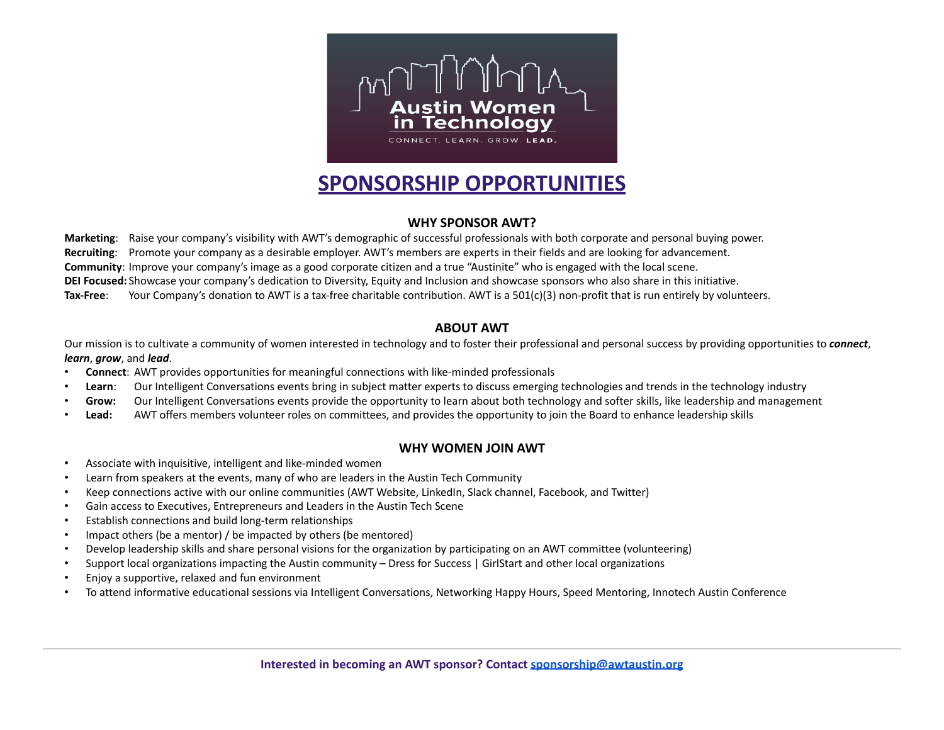

# **SPONSORSHIP OPPORTUNITIES**

#### **WHY SPONSOR AWT?**

**Marketing**: Raise your company's visibility with AWT's demographic of successful professionals with both corporate and personal buying power. **Recruiting**: Promote your company as a desirable employer. AWT's members are experts in their fields and are looking for advancement. **Community**: Improve your company's image as a good corporate citizen and a true "Austinite" who is engaged with the local scene. **DEI Focused:** Showcase your company's dedication to Diversity, Equity and Inclusion and showcase sponsors who also share in this initiative. **Tax-Free**: Your Company's donation to AWT is a tax-free charitable contribution. AWT is a 501(c)(3) non-profit that is run entirely by volunteers.

#### **ABOUT AWT**

Our mission is to cultivate a community of women interested in technology and to foster their professional and personal success by providing opportunities to *connect*, *learn*, *grow*, and *lead*.

- **Connect**: AWT provides opportunities for meaningful connections with like-minded professionals
- Learn: Our Intelligent Conversations events bring in subject matter experts to discuss emerging technologies and trends in the technology industry
- **Grow:** Our Intelligent Conversations events provide the opportunity to learn about both technology and softer skills, like leadership and management
- **Lead:** AWT offers members volunteer roles on committees, and provides the opportunity to join the Board to enhance leadership skills

## **WHY WOMEN JOIN AWT**

- Associate with inquisitive, intelligent and like-minded women
- Learn from speakers at the events, many of who are leaders in the Austin Tech Community
- Keep connections active with our online communities (AWT Website, LinkedIn, Slack channel, Facebook, and Twitter)
- Gain access to Executives, Entrepreneurs and Leaders in the Austin Tech Scene
- Establish connections and build long-term relationships
- Impact others (be a mentor) / be impacted by others (be mentored)
- Develop leadership skills and share personal visions for the organization by participating on an AWT committee (volunteering)
- Support local organizations impacting the Austin community Dress for Success | GirlStart and other local organizations
- Enjoy a supportive, relaxed and fun environment
- To attend informative educational sessions via Intelligent Conversations, Networking Happy Hours, Speed Mentoring, Innotech Austin Conference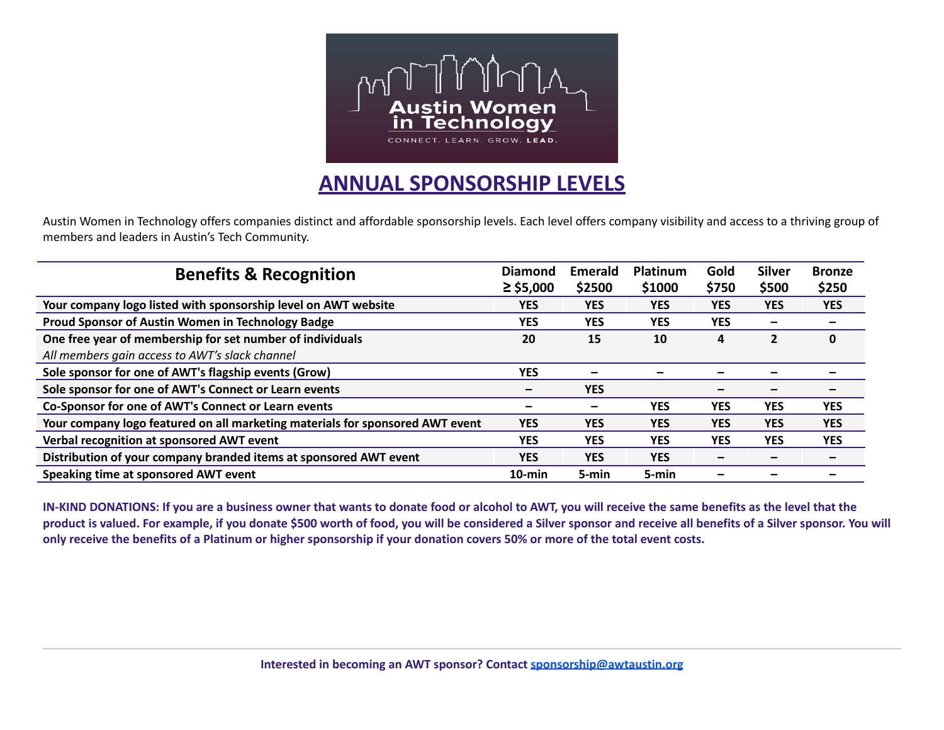

# **ANNUAL SPONSORSHIP LEVELS**

Austin Women in Technology offers companies distinct and affordable sponsorship levels. Each level offers company visibility and access to a thriving group of members and leaders in Austin's Tech Community.

| <b>Benefits &amp; Recognition</b>                                             | <b>Diamond</b><br>$\ge$ \$5,000 | Emerald<br>\$2500 | Platinum<br>\$1000 | Gold<br>\$750 | <b>Silver</b><br>\$500   | <b>Bronze</b><br>\$250 |
|-------------------------------------------------------------------------------|---------------------------------|-------------------|--------------------|---------------|--------------------------|------------------------|
| Your company logo listed with sponsorship level on AWT website                | <b>YES</b>                      | <b>YES</b>        | <b>YES</b>         | <b>YES</b>    | <b>YES</b>               | <b>YES</b>             |
| Proud Sponsor of Austin Women in Technology Badge                             | <b>YES</b>                      | <b>YES</b>        | <b>YES</b>         | <b>YES</b>    | $\overline{\phantom{m}}$ |                        |
| One free year of membership for set number of individuals                     | 20                              | 15                | 10                 | 4             | $\overline{2}$           | 0                      |
| All members gain access to AWT's slack channel                                |                                 |                   |                    |               |                          |                        |
| Sole sponsor for one of AWT's flagship events (Grow)                          | <b>YES</b>                      |                   |                    |               |                          |                        |
| Sole sponsor for one of AWT's Connect or Learn events                         | $\overline{\phantom{0}}$        | <b>YES</b>        |                    |               |                          |                        |
| Co-Sponsor for one of AWT's Connect or Learn events                           |                                 | -                 | <b>YES</b>         | <b>YES</b>    | <b>YES</b>               | <b>YES</b>             |
| Your company logo featured on all marketing materials for sponsored AWT event | <b>YES</b>                      | <b>YES</b>        | <b>YES</b>         | <b>YES</b>    | <b>YES</b>               | <b>YES</b>             |
| Verbal recognition at sponsored AWT event                                     | <b>YES</b>                      | <b>YES</b>        | <b>YES</b>         | <b>YES</b>    | <b>YES</b>               | <b>YES</b>             |
| Distribution of your company branded items at sponsored AWT event             | <b>YES</b>                      | <b>YES</b>        | <b>YES</b>         |               |                          |                        |
| Speaking time at sponsored AWT event                                          | $10$ -min                       | 5-min             | 5-min              |               |                          |                        |

IN-KIND DONATIONS: If you are a business owner that wants to donate food or alcohol to AWT, you will receive the same benefits as the level that the product is valued. For example, if you donate \$500 worth of food, you will be considered a Silver sponsor and receive all benefits of a Silver sponsor. You will only receive the benefits of a Platinum or higher sponsorship if your donation covers 50% or more of the total event costs.